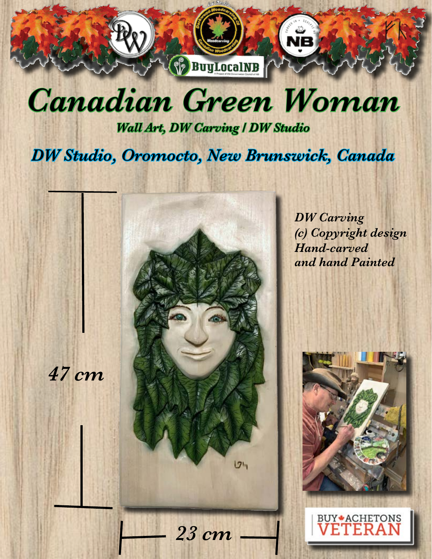

## *Canadian Green Woman*

*Wall Art, DW Carving / DW Studio* 

*DW Studio, Oromocto, New Brunswick, Canada* 

*47 cm*  $1211$ 

*23 cm*

*DW Carving (c) Copyright design Hand-carved and hand Painted*



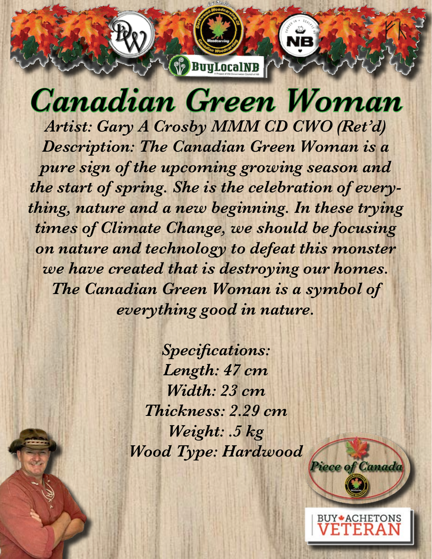

## *Canadian Green Woman*

*Artist: Gary A Crosby MMM CD CWO (Ret'd) Description: The Canadian Green Woman is a pure sign of the upcoming growing season and the start of spring. She is the celebration of everything, nature and a new beginning. In these trying times of Climate Change, we should be focusing on nature and technology to defeat this monster we have created that is destroying our homes. The Canadian Green Woman is a symbol of everything good in nature.* 

> *Specifications: Length: 47 cm Width: 23 cm Thickness: 2.29 cm Weight: .5 kg Wood Type: Hardwood*



**BUY + ACHETONS**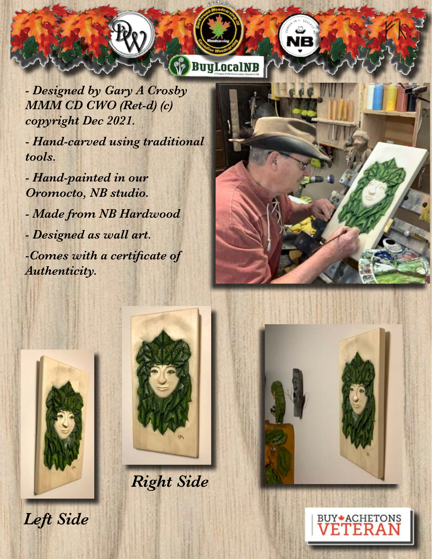*- Designed by Gary A Crosby MMM CD CWO (Ret-d) (c) copyright Dec 2021.* 

*- Hand-carved using traditional tools.*

*- Hand-painted in our Oromocto, NB studio. - Made from NB Hardwood - Designed as wall art. -Comes with a certificate of Authenticity.* 





**BuyLocalNB** 

*Right Side*